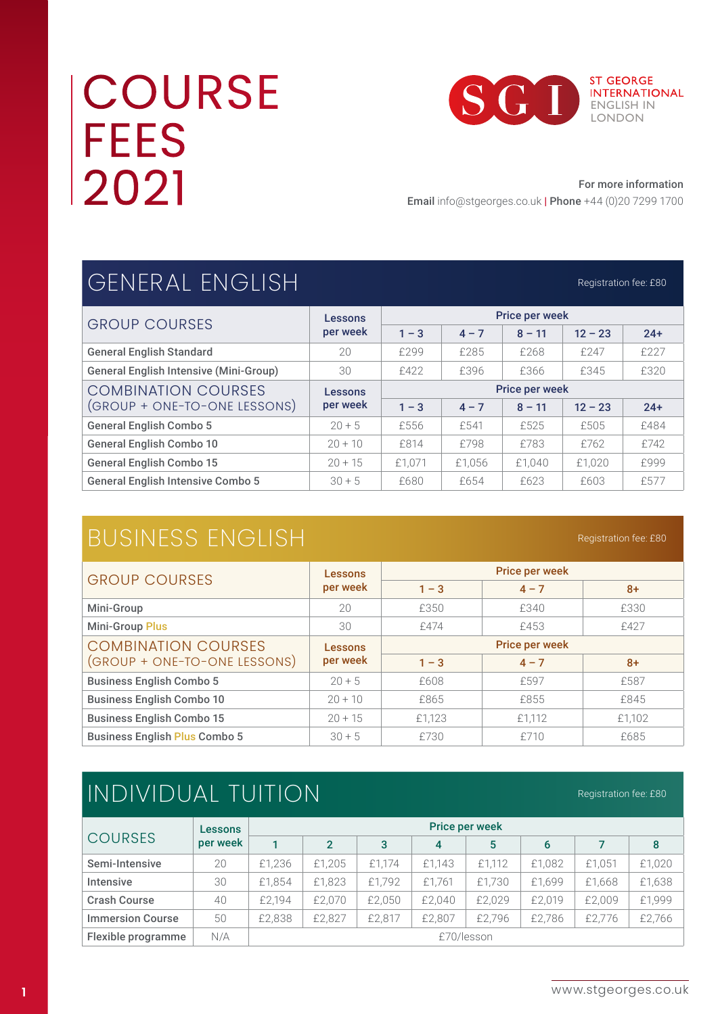# **COURSE FEES** 2021



#### For more information

Registration fee: £80

Registration fee: £80

Email info@stgeorges.co.uk | Phone +44 (0)20 7299 1700

## GENERAL ENGLISH

| <b>GROUP COURSES</b>                          | Lessons             | <b>Price per week</b> |         |          |           |       |
|-----------------------------------------------|---------------------|-----------------------|---------|----------|-----------|-------|
|                                               | per week            | $1 - 3$               | $4 - 7$ | $8 - 11$ | $12 - 23$ | $24+$ |
| <b>General English Standard</b>               | 20                  | £299                  | £285    | £268     | £247      | £227  |
| <b>General English Intensive (Mini-Group)</b> | 30                  | £422                  | £396    | £366     | £345      | £320  |
| <b>COMBINATION COURSES</b>                    | Lessons<br>per week | <b>Price per week</b> |         |          |           |       |
| (GROUP + ONE-TO-ONE LESSONS)                  |                     | $1 - 3$               | $4 - 7$ | $8 - 11$ | $12 - 23$ | $24+$ |
| <b>General English Combo 5</b>                | $20 + 5$            | £556                  | £541    | £525     | £505      | £484  |
| <b>General English Combo 10</b>               | $20 + 10$           | £814                  | £798    | £783     | £762      | £742  |
| <b>General English Combo 15</b>               | $20 + 15$           | £1.071                | £1.056  | £1.040   | £1.020    | £999  |
| <b>General English Intensive Combo 5</b>      | $30 + 5$            | £680                  | £654    | £623     | £603      | £577  |

## BUSINESS ENGLISH

| <b>GROUP COURSES</b>                 | Lessons<br>per week | Price per week        |         |        |  |  |
|--------------------------------------|---------------------|-----------------------|---------|--------|--|--|
|                                      |                     | $1 - 3$               | $4 - 7$ | $8+$   |  |  |
| Mini-Group                           | 20                  | £350                  | £340    | £330   |  |  |
| <b>Mini-Group Plus</b>               | 30                  | £474                  | £453    | £427   |  |  |
| <b>COMBINATION COURSES</b>           | Lessons<br>per week | <b>Price per week</b> |         |        |  |  |
| (GROUP + ONE-TO-ONE LESSONS)         |                     | $1 - 3$               | $4 - 7$ | $8+$   |  |  |
| <b>Business English Combo 5</b>      | $20 + 5$            | £608                  | £597    | £587   |  |  |
| <b>Business English Combo 10</b>     | $20 + 10$           | £865                  | £855    | £845   |  |  |
| <b>Business English Combo 15</b>     | $20 + 15$           | £1,123                | £1,112  | £1,102 |  |  |
| <b>Business English Plus Combo 5</b> | $30 + 5$            | £730                  | £710    | £685   |  |  |

## INDIVIDUAL TUITION

Registration fee: £80

|                         | Lessons  | <b>Price per week</b> |                |        |        |        |        |        |        |
|-------------------------|----------|-----------------------|----------------|--------|--------|--------|--------|--------|--------|
| <b>COURSES</b>          | per week |                       | $\overline{2}$ | 3      | 4      | 5      | 6      |        | 8      |
| Semi-Intensive          | 20       | £1,236                | £1.205         | £1.174 | £1.143 | £1,112 | £1,082 | £1.051 | £1,020 |
| <b>Intensive</b>        | 30       | £1,854                | £1,823         | £1.792 | £1.761 | £1,730 | £1,699 | £1.668 | £1,638 |
| <b>Crash Course</b>     | 40       | £2.194                | £2.070         | £2,050 | £2,040 | £2.029 | £2.019 | £2.009 | £1,999 |
| <b>Immersion Course</b> | 50       | £2,838                | £2.827         | £2.817 | £2.807 | £2.796 | £2.786 | £2.776 | £2,766 |
| Flexible programme      | N/A      | £70/lesson            |                |        |        |        |        |        |        |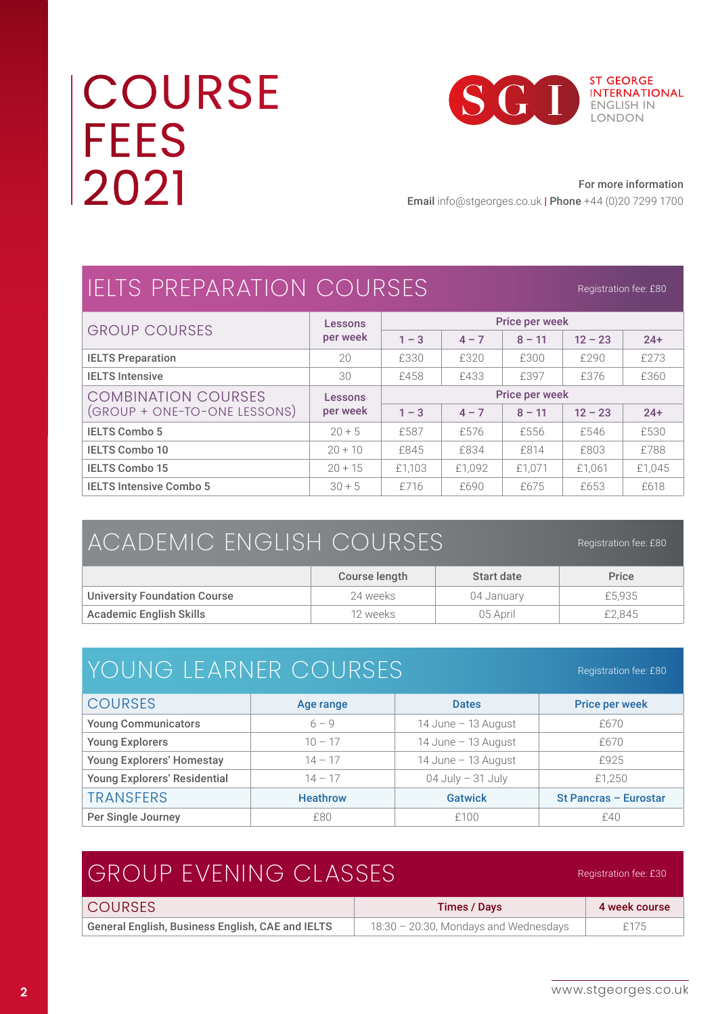# **COURSE FEES** 2021



#### For more information

Email info@stgeorges.co.uk | Phone +44 (0)20 7299 1700

## IELTS PREPARATION COURSES

Registration fee: £80

| <b>GROUP COURSES</b>           | Lessons             | <b>Price per week</b> |         |          |           |        |
|--------------------------------|---------------------|-----------------------|---------|----------|-----------|--------|
|                                | per week            | $1 - 3$               | $4 - 7$ | $8 - 11$ | $12 - 23$ | $24+$  |
| <b>IELTS Preparation</b>       | 20                  | £330                  | £320    | £300     | £290      | £273   |
| <b>IELTS Intensive</b>         | 30                  | £458                  | £433    | £397     | £376      | £360   |
| <b>COMBINATION COURSES</b>     | Lessons<br>per week | <b>Price per week</b> |         |          |           |        |
| (GROUP + ONE-TO-ONE LESSONS)   |                     | $1 - 3$               | $4 - 7$ | $8 - 11$ | $12 - 23$ | $24+$  |
| <b>IELTS Combo 5</b>           | $20 + 5$            | £587                  | £576    | £556     | £546      | £530   |
| <b>IELTS Combo 10</b>          | $20 + 10$           | £845                  | £834    | £814     | £803      | £788   |
| <b>IELTS Combo 15</b>          | $20 + 15$           | £1.103                | £1.092  | £1.071   | £1,061    | £1.045 |
| <b>IELTS Intensive Combo 5</b> | $30 + 5$            | £716                  | £690    | £675     | £653      | £618   |

| ACADEMIC ENGLISH COURSES            | Registration fee: £80 |            |        |
|-------------------------------------|-----------------------|------------|--------|
|                                     | Course length         | Start date | Price  |
| <b>University Foundation Course</b> | 24 weeks              | 04 January | £5.935 |
| <b>Academic English Skills</b>      | 12 weeks              | 05 April   | £2,845 |

| YOUNG LEARNER COURSES               |                 |                      | Registration fee: £80 |
|-------------------------------------|-----------------|----------------------|-----------------------|
| <b>COURSES</b>                      | Age range       | <b>Dates</b>         | <b>Price per week</b> |
| <b>Young Communicators</b>          | $6 - 9$         | 14 June - 13 August  | £670                  |
| <b>Young Explorers</b>              | $10 - 17$       | 14 June - 13 August  | £670                  |
| <b>Young Explorers' Homestay</b>    | $14 - 17$       | 14 June - 13 August  | £925                  |
| <b>Young Explorers' Residential</b> | $14 - 17$       | $04$ July $-31$ July | £1,250                |
| <b>TRANSFERS</b>                    | <b>Heathrow</b> | <b>Gatwick</b>       | St Pancras - Eurostar |
| Per Single Journey                  | £80             | £100                 | £40                   |

#### GROUP EVENING CLASSES COURSES Times / Days 4 week course General English, Business English, CAE and IELTS  $\vert$  18:30 – 20:30, Mondays and Wednesdays  $\vert$  £175 Registration fee: £30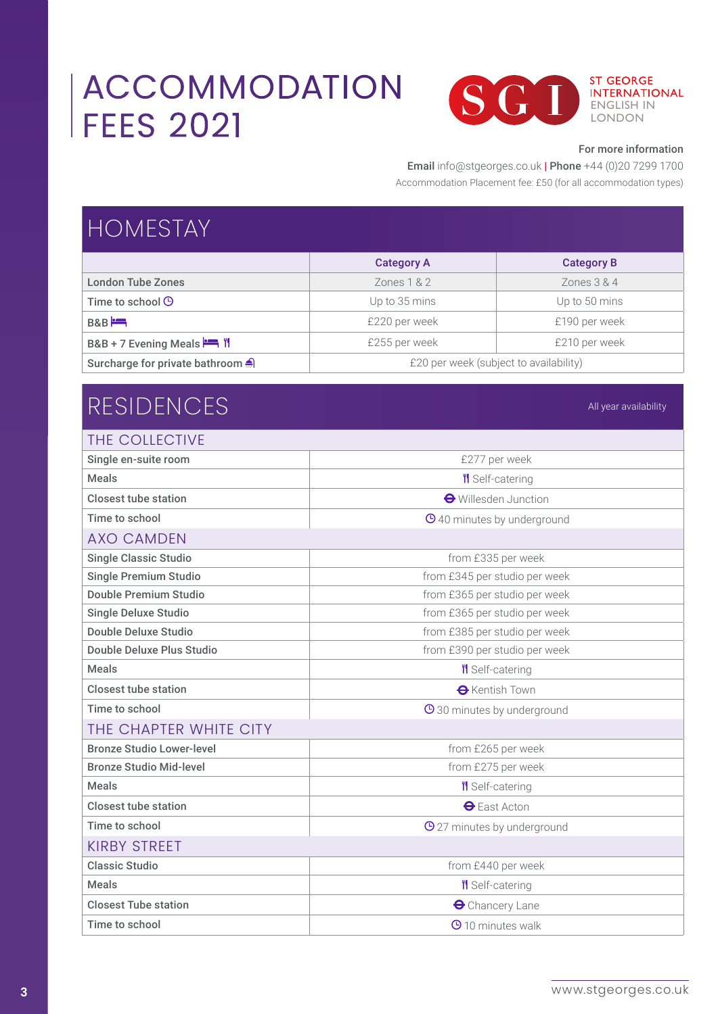## ACCOMMODATION FEES 2021



#### For more information

All year availability

#### Email info@stgeorges.co.uk | Phone +44 (0)20 7299 1700

Accommodation Placement fee: £50 (for all accommodation types)

| <b>HOMESTAY</b>                                            |                                        |                   |  |  |
|------------------------------------------------------------|----------------------------------------|-------------------|--|--|
|                                                            | <b>Category A</b>                      | <b>Category B</b> |  |  |
| <b>London Tube Zones</b>                                   | Zones $1 & 2$                          | Zones $3 & 4$     |  |  |
| Time to school $\Theta$                                    | Up to 35 mins                          | Up to 50 mins     |  |  |
| B & B                                                      | £220 per week                          | £190 per week     |  |  |
| B&B + 7 Evening Meals $\stackrel{\text{def}}{=} \parallel$ | £255 per week                          | £210 per week     |  |  |
| Surcharge for private bathroom                             | £20 per week (subject to availability) |                   |  |  |

### RESIDENCES

| Single en-suite room<br>£277 per week<br><b>Meals</b><br><b>If</b> Self-catering<br><b>Closest tube station</b><br><b>←</b> Willesden Junction<br>Time to school<br><b>O</b> 40 minutes by underground |  |
|--------------------------------------------------------------------------------------------------------------------------------------------------------------------------------------------------------|--|
|                                                                                                                                                                                                        |  |
|                                                                                                                                                                                                        |  |
|                                                                                                                                                                                                        |  |
|                                                                                                                                                                                                        |  |
| <b>AXO CAMDEN</b>                                                                                                                                                                                      |  |
| <b>Single Classic Studio</b><br>from £335 per week                                                                                                                                                     |  |
| <b>Single Premium Studio</b><br>from £345 per studio per week                                                                                                                                          |  |
| <b>Double Premium Studio</b><br>from £365 per studio per week                                                                                                                                          |  |
| from £365 per studio per week<br><b>Single Deluxe Studio</b>                                                                                                                                           |  |
| Double Deluxe Studio<br>from £385 per studio per week                                                                                                                                                  |  |
| Double Deluxe Plus Studio<br>from £390 per studio per week                                                                                                                                             |  |
| <b>Meals</b><br><b>''</b> Self-catering                                                                                                                                                                |  |
| Closest tube station<br><b>O</b> Kentish Town                                                                                                                                                          |  |
| Time to school<br><b>O</b> 30 minutes by underground                                                                                                                                                   |  |
| THE CHAPTER WHITE CITY                                                                                                                                                                                 |  |
| <b>Bronze Studio Lower-level</b><br>from £265 per week                                                                                                                                                 |  |
| <b>Bronze Studio Mid-level</b><br>from £275 per week                                                                                                                                                   |  |
| <b>Meals</b><br>II Self-catering                                                                                                                                                                       |  |
| <b>Closest tube station</b><br>$\bigoplus$ East Acton                                                                                                                                                  |  |
| Time to school<br><b>O</b> 27 minutes by underground                                                                                                                                                   |  |
| <b>KIRBY STREET</b>                                                                                                                                                                                    |  |
| <b>Classic Studio</b><br>from £440 per week                                                                                                                                                            |  |
| <b>''l</b> Self-catering<br><b>Meals</b>                                                                                                                                                               |  |
| <b>Closest Tube station</b><br><b>O</b> Chancery Lane                                                                                                                                                  |  |
| Time to school<br><b>O</b> 10 minutes walk                                                                                                                                                             |  |